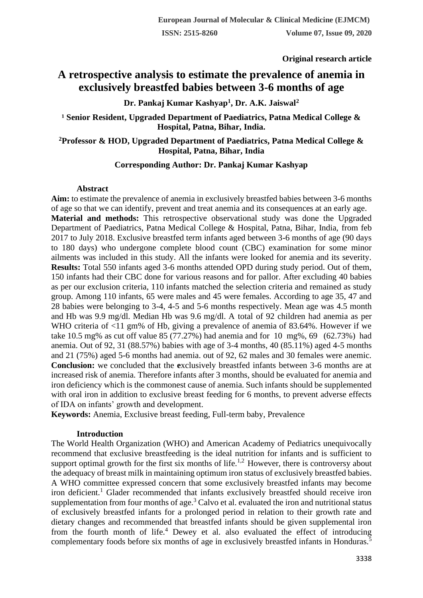**Original research article** 

# **A retrospective analysis to estimate the prevalence of anemia in exclusively breastfed babies between 3-6 months of age**

**Dr. Pankaj Kumar Kashyap<sup>1</sup> , Dr. A.K. Jaiswal<sup>2</sup>**

<sup>1</sup> Senior Resident, Upgraded Department of Paediatrics, Patna Medical College & **Hospital, Patna, Bihar, India.**

## **<sup>2</sup>Professor & HOD, Upgraded Department of Paediatrics, Patna Medical College & Hospital, Patna, Bihar, India**

## **Corresponding Author: Dr. Pankaj Kumar Kashyap**

### **Abstract**

**Aim:** to estimate the prevalence of anemia in exclusively breastfed babies between 3-6 months of age so that we can identify, prevent and treat anemia and its consequences at an early age. **Material and methods:** This retrospective observational study was done the Upgraded Department of Paediatrics, Patna Medical College & Hospital, Patna, Bihar, India, from feb 2017 to July 2018. Exclusive breastfed term infants aged between 3-6 months of age (90 days to 180 days) who undergone complete blood count (CBC) examination for some minor ailments was included in this study. All the infants were looked for anemia and its severity. **Results:** Total 550 infants aged 3-6 months attended OPD during study period. Out of them, 150 infants had their CBC done for various reasons and for pallor. After excluding 40 babies as per our exclusion criteria, 110 infants matched the selection criteria and remained as study group. Among 110 infants, 65 were males and 45 were females. According to age 35, 47 and 28 babies were belonging to 3-4, 4-5 and 5-6 months respectively. Mean age was 4.5 month and Hb was 9.9 mg/dl. Median Hb was 9.6 mg/dl. A total of 92 children had anemia as per WHO criteria of  $\langle 11 \rangle$  gm% of Hb, giving a prevalence of anemia of 83.64%. However if we take 10.5 mg% as cut off value 85 (77.27%) had anemia and for 10 mg%, 69 (62.73%) had anemia. Out of 92, 31 (88.57%) babies with age of 3-4 months, 40 (85.11%) aged 4-5 months and 21 (75%) aged 5-6 months had anemia. out of 92, 62 males and 30 females were anemic. **Conclusion:** we concluded that the **e**xclusively breastfed infants between 3-6 months are at increased risk of anemia. Therefore infants after 3 months, should be evaluated for anemia and iron deficiency which is the commonest cause of anemia. Such infants should be supplemented with oral iron in addition to exclusive breast feeding for 6 months, to prevent adverse effects of IDA on infants' growth and development.

**Keywords:** Anemia, Exclusive breast feeding, Full-term baby, Prevalence

## **Introduction**

The World Health Organization (WHO) and American Academy of Pediatrics unequivocally recommend that exclusive breastfeeding is the ideal nutrition for infants and is sufficient to support optimal growth for the first six months of life.<sup>1,2</sup> However, there is controversy about the adequacy of breast milk in maintaining optimum iron status of exclusively breastfed babies. A WHO committee expressed concern that some exclusively breastfed infants may become iron deficient.<sup>1</sup> Glader recommended that infants exclusively breastfed should receive iron supplementation from four months of age.<sup>3</sup> Calvo et al. evaluated the iron and nutritional status of exclusively breastfed infants for a prolonged period in relation to their growth rate and dietary changes and recommended that breastfed infants should be given supplemental iron from the fourth month of life.<sup>4</sup> Dewey et al. also evaluated the effect of introducing complementary foods before six months of age in exclusively breastfed infants in Honduras.<sup>5</sup>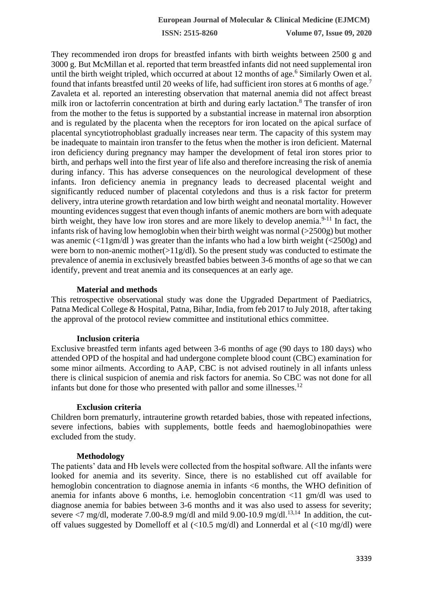**ISSN: 2515-8260 Volume 07, Issue 09, 2020**

They recommended iron drops for breastfed infants with birth weights between 2500 g and 3000 g. But McMillan et al. reported that term breastfed infants did not need supplemental iron until the birth weight tripled, which occurred at about 12 months of age.<sup>6</sup> Similarly Owen et al. found that infants breastfed until 20 weeks of life, had sufficient iron stores at 6 months of age.<sup>7</sup> Zavaleta et al. reported an interesting observation that maternal anemia did not affect breast milk iron or lactoferrin concentration at birth and during early lactation.<sup>8</sup> The transfer of iron from the mother to the fetus is supported by a substantial increase in maternal iron absorption and is regulated by the placenta when the receptors for iron located on the apical surface of placental syncytiotrophoblast gradually increases near term. The capacity of this system may be inadequate to maintain iron transfer to the fetus when the mother is iron deficient. Maternal iron deficiency during pregnancy may hamper the development of fetal iron stores prior to birth, and perhaps well into the first year of life also and therefore increasing the risk of anemia during infancy. This has adverse consequences on the neurological development of these infants. Iron deficiency anemia in pregnancy leads to decreased placental weight and significantly reduced number of placental cotyledons and thus is a risk factor for preterm delivery, intra uterine growth retardation and low birth weight and neonatal mortality. However mounting evidences suggest that even though infants of anemic mothers are born with adequate birth weight, they have low iron stores and are more likely to develop anemia.<sup>9-11</sup> In fact, the infants risk of having low hemoglobin when their birth weight was normal (>2500g) but mother was anemic  $\langle \langle 11gm/dl \rangle$  was greater than the infants who had a low birth weight  $\langle \langle 2500g \rangle$  and were born to non-anemic mother $(>11g/dl)$ . So the present study was conducted to estimate the prevalence of anemia in exclusively breastfed babies between 3-6 months of age so that we can identify, prevent and treat anemia and its consequences at an early age.

### **Material and methods**

This retrospective observational study was done the Upgraded Department of Paediatrics, Patna Medical College & Hospital, Patna, Bihar, India, from feb 2017 to July 2018, after taking the approval of the protocol review committee and institutional ethics committee.

#### **Inclusion criteria**

Exclusive breastfed term infants aged between 3-6 months of age (90 days to 180 days) who attended OPD of the hospital and had undergone complete blood count (CBC) examination for some minor ailments. According to AAP, CBC is not advised routinely in all infants unless there is clinical suspicion of anemia and risk factors for anemia. So CBC was not done for all infants but done for those who presented with pallor and some illnesses.<sup>12</sup>

### **Exclusion criteria**

Children born prematurly, intrauterine growth retarded babies, those with repeated infections, severe infections, babies with supplements, bottle feeds and haemoglobinopathies were excluded from the study.

#### **Methodology**

The patients' data and Hb levels were collected from the hospital software. All the infants were looked for anemia and its severity. Since, there is no established cut off available for hemoglobin concentration to diagnose anemia in infants <6 months, the WHO definition of anemia for infants above 6 months, i.e. hemoglobin concentration <11 gm/dl was used to diagnose anemia for babies between 3-6 months and it was also used to assess for severity; severe  $\langle 7 \text{ mg/dl}$ , moderate 7.00-8.9 mg/dl and mild 9.00-10.9 mg/dl.<sup>13,14</sup> In addition, the cutoff values suggested by Domelloff et al (<10.5 mg/dl) and Lonnerdal et al (<10 mg/dl) were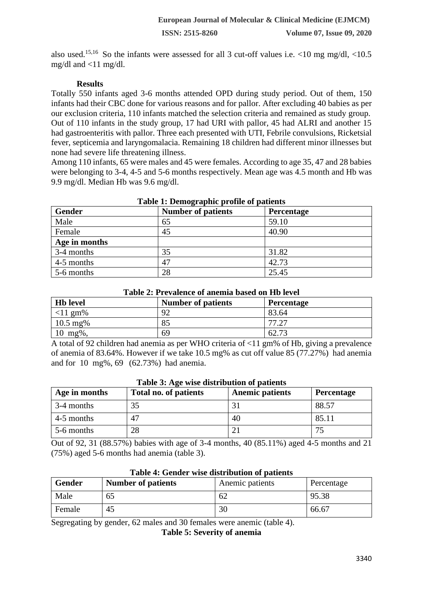also used.<sup>15,16</sup> So the infants were assessed for all 3 cut-off values i.e.  $\langle 10 \text{ mg mg/dl}, \langle 10.5 \rangle$ mg/dl and  $\langle 11 \text{ mg/dl}$ .

## **Results**

Totally 550 infants aged 3-6 months attended OPD during study period. Out of them, 150 infants had their CBC done for various reasons and for pallor. After excluding 40 babies as per our exclusion criteria, 110 infants matched the selection criteria and remained as study group. Out of 110 infants in the study group, 17 had URI with pallor, 45 had ALRI and another 15 had gastroenteritis with pallor. Three each presented with UTI, Febrile convulsions, Ricketsial fever, septicemia and laryngomalacia. Remaining 18 children had different minor illnesses but none had severe life threatening illness.

Among 110 infants, 65 were males and 45 were females. According to age 35, 47 and 28 babies were belonging to 3-4, 4-5 and 5-6 months respectively. Mean age was 4.5 month and Hb was 9.9 mg/dl. Median Hb was 9.6 mg/dl.

| Table 1. Demographic prome or patients |                           |                   |  |
|----------------------------------------|---------------------------|-------------------|--|
| Gender                                 | <b>Number of patients</b> | <b>Percentage</b> |  |
| Male                                   | 65                        | 59.10             |  |
| Female                                 | 45                        | 40.90             |  |
| Age in months                          |                           |                   |  |
| 3-4 months                             | 35                        | 31.82             |  |
| 4-5 months                             | 47                        | 42.73             |  |
| 5-6 months                             | 28                        | 25.45             |  |

# **Table 1: Demographic profile of patients**

|  | Table 2: Prevalence of anemia based on Hb level |  |  |  |
|--|-------------------------------------------------|--|--|--|
|--|-------------------------------------------------|--|--|--|

| <b>Hb</b> level       | <b>Number of patients</b> | Percentage |
|-----------------------|---------------------------|------------|
| $\vert$ <11 gm%       | 92                        | 83.64      |
| $10.5 \text{ mg\%}$   | 85                        | 77 27      |
| $10 \; \text{mg}\%$ , | 69                        | 62.73      |

A total of 92 children had anemia as per WHO criteria of <11 gm% of Hb, giving a prevalence of anemia of 83.64%. However if we take 10.5 mg% as cut off value 85 (77.27%) had anemia and for 10 mg%, 69 (62.73%) had anemia.

| Age in months | Total no. of patients | <b>Anemic patients</b> | <b>Percentage</b> |
|---------------|-----------------------|------------------------|-------------------|
| 3-4 months    | 35                    |                        | 88.57             |
| 4-5 months    | 47                    | 40                     | 85.11             |
| 5-6 months    | 28                    |                        | 74                |

#### **Table 3: Age wise distribution of patients**

Out of 92, 31 (88.57%) babies with age of 3-4 months, 40 (85.11%) aged 4-5 months and 21 (75%) aged 5-6 months had anemia (table 3).

| Table 4. Genuer wise uistribution of patients |                           |                 |            |
|-----------------------------------------------|---------------------------|-----------------|------------|
| Gender                                        | <b>Number of patients</b> | Anemic patients | Percentage |
| Male                                          | 65                        | 62              | 95.38      |
| Female                                        | 45                        | 30              | 66.67      |

# **Table 4: Gender wise distribution of patients**

Segregating by gender, 62 males and 30 females were anemic (table 4).

**Table 5: Severity of anemia**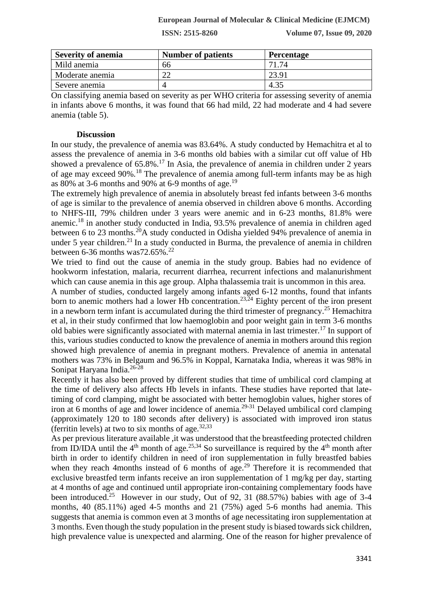#### **European Journal of Molecular & Clinical Medicine (EJMCM)**

**ISSN: 2515-8260 Volume 07, Issue 09, 2020**

| <b>Severity of anemia</b> | <b>Number of patients</b> | <b>Percentage</b> |
|---------------------------|---------------------------|-------------------|
| Mild anemia               | 66                        | 71.74             |
| Moderate anemia           | റി                        | 23.91             |
| Severe anemia             |                           |                   |

On classifying anemia based on severity as per WHO criteria for assessing severity of anemia in infants above 6 months, it was found that 66 had mild, 22 had moderate and 4 had severe anemia (table 5).

#### **Discussion**

In our study, the prevalence of anemia was 83.64%. A study conducted by Hemachitra et al to assess the prevalence of anemia in 3-6 months old babies with a similar cut off value of Hb showed a prevalence of  $65.8\%$ .<sup>17</sup> In Asia, the prevalence of anemia in children under 2 years of age may exceed 90%.<sup>18</sup> The prevalence of anemia among full-term infants may be as high as 80% at 3-6 months and 90% at 6-9 months of age.<sup>19</sup>

The extremely high prevalence of anemia in absolutely breast fed infants between 3-6 months of age is similar to the prevalence of anemia observed in children above 6 months. According to NHFS-III, 79% children under 3 years were anemic and in 6-23 months, 81.8% were anemic.<sup>18</sup> in another study conducted in India, 93.5% prevalence of anemia in children aged between 6 to 23 months.<sup>20</sup>A study conducted in Odisha yielded 94% prevalence of anemia in under 5 year children.<sup>21</sup> In a study conducted in Burma, the prevalence of anemia in children between 6-36 months was  $72.65\%$ <sup>22</sup>

We tried to find out the cause of anemia in the study group. Babies had no evidence of hookworm infestation, malaria, recurrent diarrhea, recurrent infections and malanurishment which can cause anemia in this age group. Alpha thalassemia trait is uncommon in this area.

A number of studies, conducted largely among infants aged 6-12 months, found that infants born to anemic mothers had a lower Hb concentration.<sup>23,24</sup> Eighty percent of the iron present in a newborn term infant is accumulated during the third trimester of pregnancy.<sup>25</sup> Hemachitra et al, in their study confirmed that low haemoglobin and poor weight gain in term 3-6 months old babies were significantly associated with maternal anemia in last trimester.<sup>17</sup> In support of this, various studies conducted to know the prevalence of anemia in mothers around this region showed high prevalence of anemia in pregnant mothers. Prevalence of anemia in antenatal mothers was 73% in Belgaum and 96.5% in Koppal, Karnataka India, whereas it was 98% in Sonipat Haryana India.26-28

Recently it has also been proved by different studies that time of umbilical cord clamping at the time of delivery also affects Hb levels in infants. These studies have reported that latetiming of cord clamping, might be associated with better hemoglobin values, higher stores of iron at 6 months of age and lower incidence of anemia.29-31 Delayed umbilical cord clamping (approximately 120 to 180 seconds after delivery) is associated with improved iron status (ferritin levels) at two to six months of age. $32,33$ 

As per previous literature available ,it was understood that the breastfeeding protected children from ID/IDA until the  $4<sup>th</sup>$  month of age.<sup>25,34</sup> So surveillance is required by the  $4<sup>th</sup>$  month after birth in order to identify children in need of iron supplementation in fully breastfed babies when they reach 4months instead of 6 months of age.<sup>29</sup> Therefore it is recommended that exclusive breastfed term infants receive an iron supplementation of 1 mg/kg per day, starting at 4 months of age and continued until appropriate iron-containing complementary foods have been introduced.<sup>25</sup> However in our study, Out of 92, 31 (88.57%) babies with age of 3-4 months, 40 (85.11%) aged 4-5 months and 21 (75%) aged 5-6 months had anemia. This suggests that anemia is common even at 3 months of age necessitating iron supplementation at 3 months. Even though the study population in the present study is biased towards sick children, high prevalence value is unexpected and alarming. One of the reason for higher prevalence of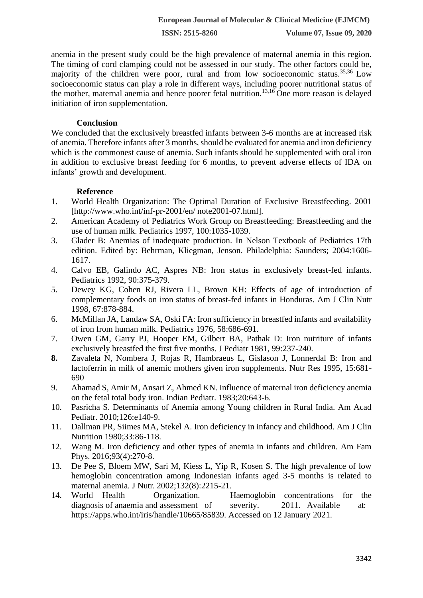**ISSN: 2515-8260 Volume 07, Issue 09, 2020**

anemia in the present study could be the high prevalence of maternal anemia in this region. The timing of cord clamping could not be assessed in our study. The other factors could be, majority of the children were poor, rural and from low socioeconomic status.35,36 Low socioeconomic status can play a role in different ways, including poorer nutritional status of the mother, maternal anemia and hence poorer fetal nutrition.<sup>13,16</sup> One more reason is delayed initiation of iron supplementation.

### **Conclusion**

We concluded that the **e**xclusively breastfed infants between 3-6 months are at increased risk of anemia. Therefore infants after 3 months, should be evaluated for anemia and iron deficiency which is the commonest cause of anemia. Such infants should be supplemented with oral iron in addition to exclusive breast feeding for 6 months, to prevent adverse effects of IDA on infants' growth and development.

## **Reference**

- 1. World Health Organization: The Optimal Duration of Exclusive Breastfeeding. 2001 [http://www.who.int/inf-pr-2001/en/ note2001-07.html].
- 2. American Academy of Pediatrics Work Group on Breastfeeding: Breastfeeding and the use of human milk. Pediatrics 1997, 100:1035-1039.
- 3. Glader B: Anemias of inadequate production. In Nelson Textbook of Pediatrics 17th edition. Edited by: Behrman, Kliegman, Jenson. Philadelphia: Saunders; 2004:1606- 1617.
- 4. Calvo EB, Galindo AC, Aspres NB: Iron status in exclusively breast-fed infants. Pediatrics 1992, 90:375-379.
- 5. Dewey KG, Cohen RJ, Rivera LL, Brown KH: Effects of age of introduction of complementary foods on iron status of breast-fed infants in Honduras. Am J Clin Nutr 1998, 67:878-884.
- 6. McMillan JA, Landaw SA, Oski FA: Iron sufficiency in breastfed infants and availability of iron from human milk. Pediatrics 1976, 58:686-691.
- 7. Owen GM, Garry PJ, Hooper EM, Gilbert BA, Pathak D: Iron nutriture of infants exclusively breastfed the first five months. J Pediatr 1981, 99:237-240.
- **8.** Zavaleta N, Nombera J, Rojas R, Hambraeus L, Gislason J, Lonnerdal B: Iron and lactoferrin in milk of anemic mothers given iron supplements. Nutr Res 1995, 15:681- 690
- 9. Ahamad S, Amir M, Ansari Z, Ahmed KN. Influence of maternal iron deficiency anemia on the fetal total body iron. Indian Pediatr. 1983;20:643-6.
- 10. Pasricha S. Determinants of Anemia among Young children in Rural India. Am Acad Pediatr. 2010;126:e140-9.
- 11. Dallman PR, Siimes MA, Stekel A. Iron deficiency in infancy and childhood. Am J Clin Nutrition 1980;33:86-118.
- 12. Wang M. Iron deficiency and other types of anemia in infants and children. Am Fam Phys. 2016;93(4):270-8.
- 13. De Pee S, Bloem MW, Sari M, Kiess L, Yip R, Kosen S. The high prevalence of low hemoglobin concentration among Indonesian infants aged 3-5 months is related to maternal anemia. J Nutr. 2002;132(8):2215-21.
- 14. World Health Organization. Haemoglobin concentrations for the diagnosis of anaemia and assessment of severity. 2011. Available at: https://apps.who.int/iris/handle/10665/85839. Accessed on 12 January 2021.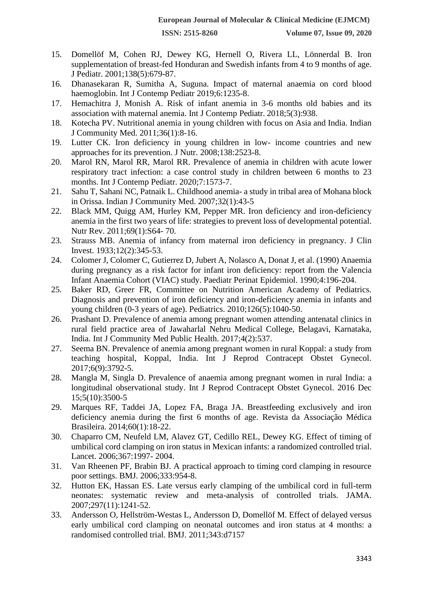- 15. Domellöf M, Cohen RJ, Dewey KG, Hernell O, Rivera LL, Lönnerdal B. Iron supplementation of breast-fed Honduran and Swedish infants from 4 to 9 months of age. J Pediatr. 2001;138(5):679-87.
- 16. Dhanasekaran R, Sumitha A, Suguna. Impact of maternal anaemia on cord blood haemoglobin. Int J Contemp Pediatr 2019;6:1235-8.
- 17. Hemachitra J, Monish A. Risk of infant anemia in 3-6 months old babies and its association with maternal anemia. Int J Contemp Pediatr. 2018;5(3):938.
- 18. Kotecha PV. Nutritional anemia in young children with focus on Asia and India. Indian J Community Med. 2011;36(1):8-16.
- 19. Lutter CK. Iron deficiency in young children in low- income countries and new approaches for its prevention. J Nutr. 2008;138:2523-8.
- 20. Marol RN, Marol RR, Marol RR. Prevalence of anemia in children with acute lower respiratory tract infection: a case control study in children between 6 months to 23 months. Int J Contemp Pediatr. 2020;7:1573-7.
- 21. Sahu T, Sahani NC, Patnaik L. Childhood anemia- a study in tribal area of Mohana block in Orissa. Indian J Community Med. 2007;32(1):43-5
- 22. Black MM, Quigg AM, Hurley KM, Pepper MR. Iron deficiency and iron-deficiency anemia in the first two years of life: strategies to prevent loss of developmental potential. Nutr Rev. 2011;69(1):S64- 70.
- 23. Strauss MB. Anemia of infancy from maternal iron deficiency in pregnancy. J Clin Invest. 1933;12(2):345-53.
- 24. Colomer J, Colomer C, Gutierrez D, Jubert A, Nolasco A, Donat J, et al. (1990) Anaemia during pregnancy as a risk factor for infant iron deficiency: report from the Valencia Infant Anaemia Cohort (VIAC) study. Paediatr Perinat Epidemiol. 1990;4:196-204.
- 25. Baker RD, Greer FR, Committee on Nutrition American Academy of Pediatrics. Diagnosis and prevention of iron deficiency and iron-deficiency anemia in infants and young children (0-3 years of age). Pediatrics. 2010;126(5):1040-50.
- 26. Prashant D. Prevalence of anemia among pregnant women attending antenatal clinics in rural field practice area of Jawaharlal Nehru Medical College, Belagavi, Karnataka, India. Int J Community Med Public Health. 2017;4(2):537.
- 27. Seema BN. Prevalence of anemia among pregnant women in rural Koppal: a study from teaching hospital, Koppal, India. Int J Reprod Contracept Obstet Gynecol. 2017;6(9):3792-5.
- 28. Mangla M, Singla D. Prevalence of anaemia among pregnant women in rural India: a longitudinal observational study. Int J Reprod Contracept Obstet Gynecol. 2016 Dec 15;5(10):3500-5
- 29. Marques RF, Taddei JA, Lopez FA, Braga JA. Breastfeeding exclusively and iron deficiency anemia during the first 6 months of age. Revista da Associação Médica Brasileira. 2014;60(1):18-22.
- 30. Chaparro CM, Neufeld LM, Alavez GT, Cedillo REL, Dewey KG. Effect of timing of umbilical cord clamping on iron status in Mexican infants: a randomized controlled trial. Lancet. 2006;367:1997- 2004.
- 31. Van Rheenen PF, Brabin BJ. A practical approach to timing cord clamping in resource poor settings. BMJ. 2006;333:954-8.
- 32. Hutton EK, Hassan ES. Late versus early clamping of the umbilical cord in full-term neonates: systematic review and meta-analysis of controlled trials. JAMA. 2007;297(11):1241-52.
- 33. Andersson O, Hellström-Westas L, Andersson D, Domellöf M. Effect of delayed versus early umbilical cord clamping on neonatal outcomes and iron status at 4 months: a randomised controlled trial. BMJ. 2011;343:d7157